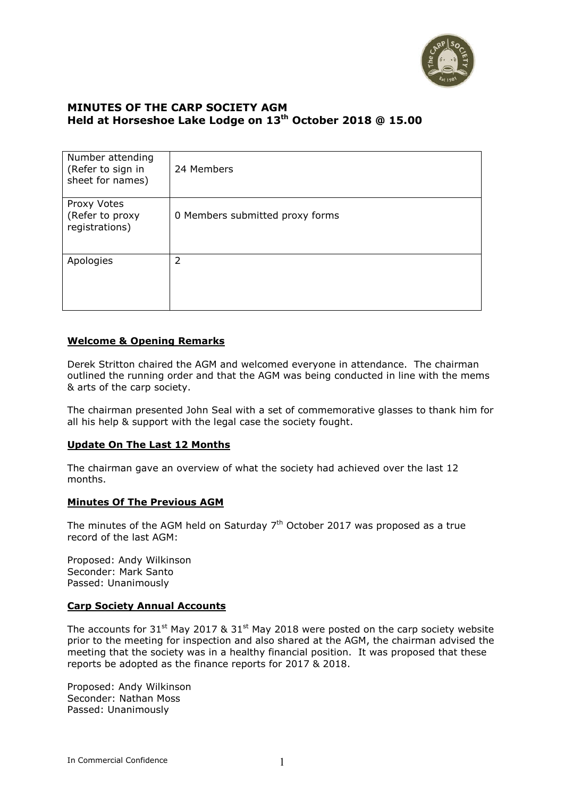

### **MINUTES OF THE CARP SOCIETY AGM Held at Horseshoe Lake Lodge on 13th October 2018 @ 15.00**

| Number attending<br>(Refer to sign in<br>sheet for names) | 24 Members                      |
|-----------------------------------------------------------|---------------------------------|
| Proxy Votes<br>(Refer to proxy<br>registrations)          | 0 Members submitted proxy forms |
| Apologies                                                 | 2                               |

### **Welcome & Opening Remarks**

Derek Stritton chaired the AGM and welcomed everyone in attendance. The chairman outlined the running order and that the AGM was being conducted in line with the mems & arts of the carp society.

The chairman presented John Seal with a set of commemorative glasses to thank him for all his help & support with the legal case the society fought.

#### **Update On The Last 12 Months**

The chairman gave an overview of what the society had achieved over the last 12 months.

#### **Minutes Of The Previous AGM**

The minutes of the AGM held on Saturday  $7<sup>th</sup>$  October 2017 was proposed as a true record of the last AGM:

Proposed: Andy Wilkinson Seconder: Mark Santo Passed: Unanimously

### **Carp Society Annual Accounts**

The accounts for  $31^{st}$  May 2017 &  $31^{st}$  May 2018 were posted on the carp society website prior to the meeting for inspection and also shared at the AGM, the chairman advised the meeting that the society was in a healthy financial position. It was proposed that these reports be adopted as the finance reports for 2017 & 2018.

Proposed: Andy Wilkinson Seconder: Nathan Moss Passed: Unanimously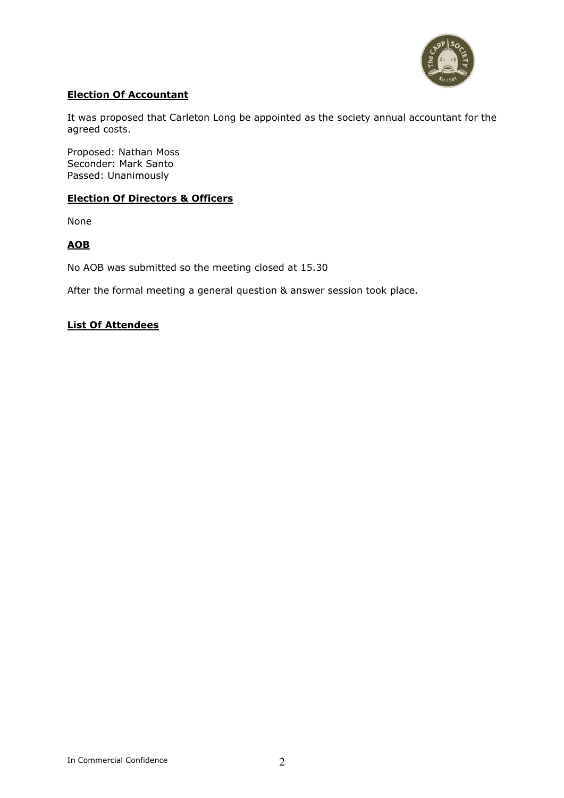

### **Election Of Accountant**

It was proposed that Carleton Long be appointed as the society annual accountant for the agreed costs.

Proposed: Nathan Moss Seconder: Mark Santo Passed: Unanimously

### **Election Of Directors & Officers**

None

### **AOB**

No AOB was submitted so the meeting closed at 15.30

After the formal meeting a general question & answer session took place.

### **List Of Attendees**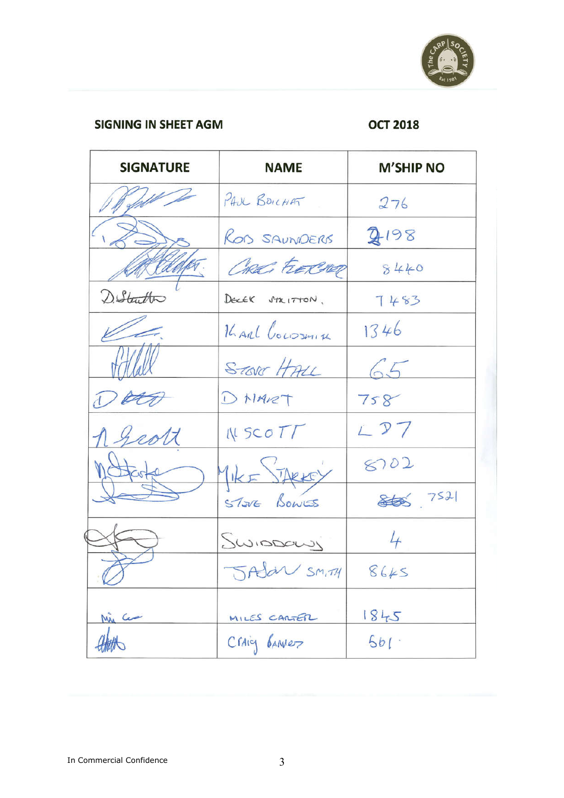

### **SIGNING IN SHEET AGM**

# **OCT 2018**

| <b>SIGNATURE</b> | <b>NAME</b>     | <b>M'SHIP NO</b> |
|------------------|-----------------|------------------|
|                  | PAUL BOICHAT    | 276              |
|                  | ROD SAUNDERS    | 2198             |
|                  | Checi FEDERARD  | 8440             |
| D. Statter       | DECEK STRITTON, | 7483             |
|                  | KARL Coussmith  | 1346             |
|                  | STORT HALL      | 65               |
|                  | DNART           | 758              |
| 20/7             | WSCOTT          | $L$ $D$ $7$      |
|                  | MIKE STARKEY    | 8702             |
|                  | STOVE BOWES     | 868 7521         |
|                  | Swippowy        | 4                |
| $\varnothing$    | JAJaN SMITH     | 8645             |
| Min Com          |                 | 1845             |
|                  | MILES CARTER    | 501              |